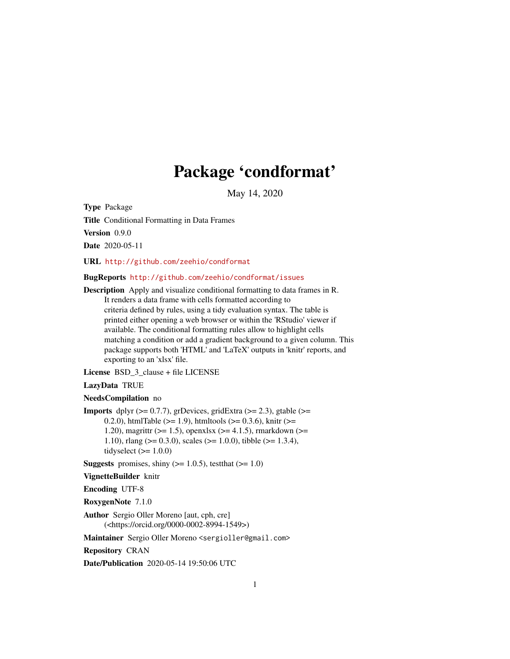# Package 'condformat'

May 14, 2020

<span id="page-0-0"></span>Type Package

Title Conditional Formatting in Data Frames

Version 0.9.0

Date 2020-05-11

URL <http://github.com/zeehio/condformat>

BugReports <http://github.com/zeehio/condformat/issues>

Description Apply and visualize conditional formatting to data frames in R. It renders a data frame with cells formatted according to criteria defined by rules, using a tidy evaluation syntax. The table is printed either opening a web browser or within the 'RStudio' viewer if available. The conditional formatting rules allow to highlight cells matching a condition or add a gradient background to a given column. This package supports both 'HTML' and 'LaTeX' outputs in 'knitr' reports, and exporting to an 'xlsx' file.

License BSD\_3\_clause + file LICENSE

#### LazyData TRUE

#### NeedsCompilation no

**Imports** dplyr  $(>= 0.7.7)$ , grDevices, gridExtra  $(>= 2.3)$ , gtable  $(>= 1.7)$ 0.2.0), htmlTable ( $>= 1.9$ ), htmltools ( $>= 0.3.6$ ), knitr ( $>= 0.2.0$ ) 1.20), magrittr ( $>= 1.5$ ), openxlsx ( $>= 4.1.5$ ), rmarkdown ( $>= 1.5$ 1.10), rlang ( $> = 0.3.0$ ), scales ( $> = 1.0.0$ ), tibble ( $> = 1.3.4$ ), tidyselect  $(>= 1.0.0)$ 

**Suggests** promises, shiny  $(>= 1.0.5)$ , test that  $(>= 1.0)$ 

VignetteBuilder knitr

Encoding UTF-8

RoxygenNote 7.1.0

Author Sergio Oller Moreno [aut, cph, cre] (<https://orcid.org/0000-0002-8994-1549>)

Maintainer Sergio Oller Moreno <sergioller@gmail.com>

Repository CRAN

Date/Publication 2020-05-14 19:50:06 UTC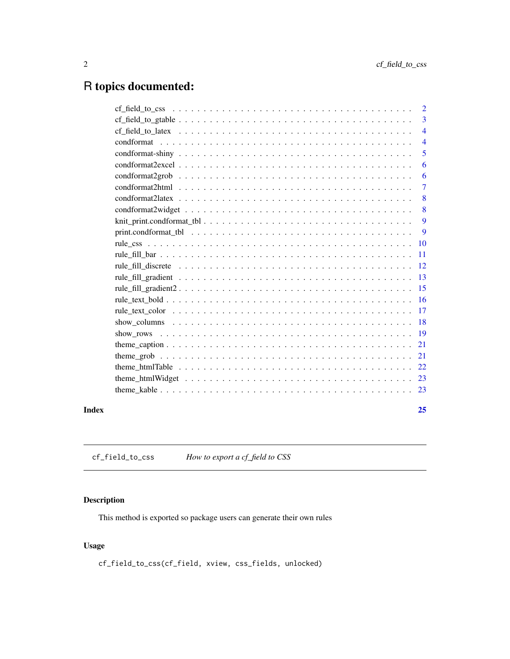## <span id="page-1-0"></span>R topics documented:

|       |                                                                                                                   | $\overline{2}$ |
|-------|-------------------------------------------------------------------------------------------------------------------|----------------|
|       |                                                                                                                   | $\overline{3}$ |
|       |                                                                                                                   | $\overline{4}$ |
|       |                                                                                                                   | $\overline{4}$ |
|       |                                                                                                                   | 5              |
|       |                                                                                                                   | 6              |
|       | $condformat2grob \ldots \ldots \ldots \ldots \ldots \ldots \ldots \ldots \ldots \ldots \ldots \ldots \ldots$      | 6              |
|       |                                                                                                                   | $\tau$         |
|       |                                                                                                                   | 8              |
|       | $condformat2wide \ t \ldots \ldots \ldots \ldots \ldots \ldots \ldots \ldots \ldots \ldots \ldots \ldots$         | 8              |
|       |                                                                                                                   | 9              |
|       | print.condformat tbl $\ldots \ldots \ldots \ldots \ldots \ldots \ldots \ldots \ldots \ldots \ldots \ldots \ldots$ | 9              |
|       |                                                                                                                   | 10             |
|       |                                                                                                                   | <b>11</b>      |
|       |                                                                                                                   |                |
|       |                                                                                                                   |                |
|       |                                                                                                                   |                |
|       |                                                                                                                   |                |
|       |                                                                                                                   |                |
|       |                                                                                                                   |                |
|       |                                                                                                                   |                |
|       |                                                                                                                   |                |
|       |                                                                                                                   |                |
|       |                                                                                                                   |                |
|       |                                                                                                                   |                |
|       |                                                                                                                   |                |
| Index |                                                                                                                   | 25             |

cf\_field\_to\_css *How to export a cf\_field to CSS*

### Description

This method is exported so package users can generate their own rules

#### Usage

cf\_field\_to\_css(cf\_field, xview, css\_fields, unlocked)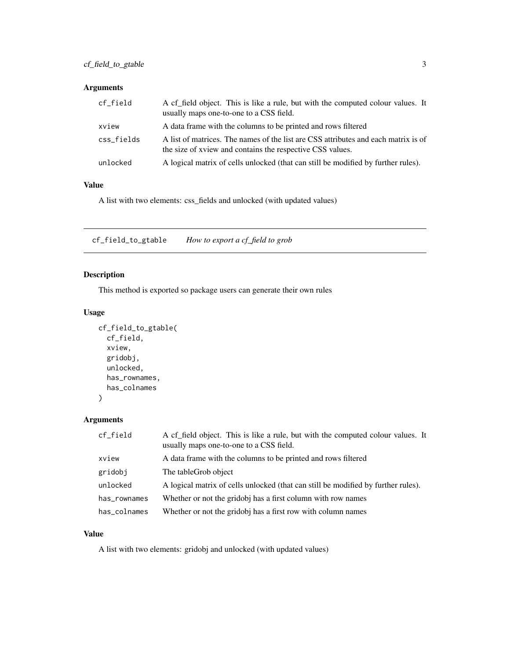#### <span id="page-2-0"></span>Arguments

| cf_field   | A cf field object. This is like a rule, but with the computed colour values. It<br>usually maps one-to-one to a CSS field.                      |
|------------|-------------------------------------------------------------------------------------------------------------------------------------------------|
| xview      | A data frame with the columns to be printed and rows filtered                                                                                   |
| css_fields | A list of matrices. The names of the list are CSS attributes and each matrix is of<br>the size of xview and contains the respective CSS values. |
| unlocked   | A logical matrix of cells unlocked (that can still be modified by further rules).                                                               |

#### Value

A list with two elements: css\_fields and unlocked (with updated values)

cf\_field\_to\_gtable *How to export a cf\_field to grob*

#### Description

This method is exported so package users can generate their own rules

#### Usage

```
cf_field_to_gtable(
  cf_field,
  xview,
  gridobj,
  unlocked,
  has_rownames,
  has_colnames
```
 $\mathcal{L}$ 

#### Arguments

| cf_field     | A cf_field object. This is like a rule, but with the computed colour values. It<br>usually maps one-to-one to a CSS field. |
|--------------|----------------------------------------------------------------------------------------------------------------------------|
| xview        | A data frame with the columns to be printed and rows filtered                                                              |
| gridobj      | The table Grob object                                                                                                      |
| unlocked     | A logical matrix of cells unlocked (that can still be modified by further rules).                                          |
| has_rownames | Whether or not the gridobj has a first column with row names                                                               |
| has_colnames | Whether or not the gridobj has a first row with column names                                                               |

#### Value

A list with two elements: gridobj and unlocked (with updated values)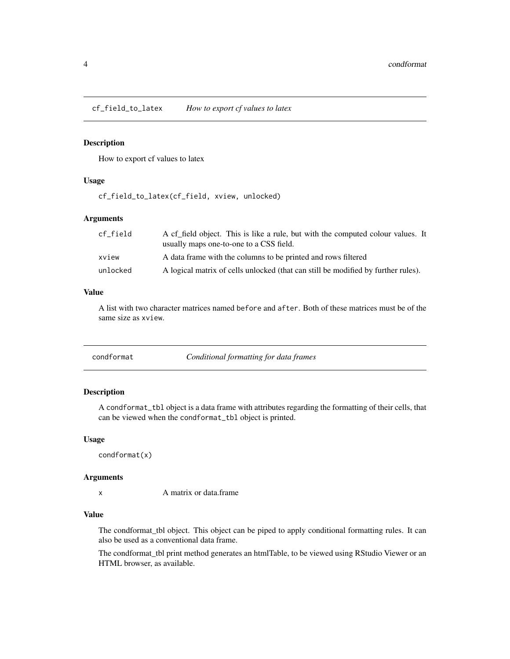<span id="page-3-0"></span>cf\_field\_to\_latex *How to export cf values to latex*

#### Description

How to export cf values to latex

#### Usage

cf\_field\_to\_latex(cf\_field, xview, unlocked)

#### Arguments

| cf field | A cf field object. This is like a rule, but with the computed colour values. It<br>usually maps one-to-one to a CSS field. |
|----------|----------------------------------------------------------------------------------------------------------------------------|
| xview    | A data frame with the columns to be printed and rows filtered                                                              |
| unlocked | A logical matrix of cells unlocked (that can still be modified by further rules).                                          |

#### Value

A list with two character matrices named before and after. Both of these matrices must be of the same size as xview.

<span id="page-3-1"></span>

| condformat | Conditional formatting for data frames |
|------------|----------------------------------------|
|------------|----------------------------------------|

#### Description

A condformat\_tbl object is a data frame with attributes regarding the formatting of their cells, that can be viewed when the condformat\_tbl object is printed.

#### Usage

condformat(x)

#### Arguments

x A matrix or data.frame

#### Value

The condformat\_tbl object. This object can be piped to apply conditional formatting rules. It can also be used as a conventional data frame.

The condformat\_tbl print method generates an htmlTable, to be viewed using RStudio Viewer or an HTML browser, as available.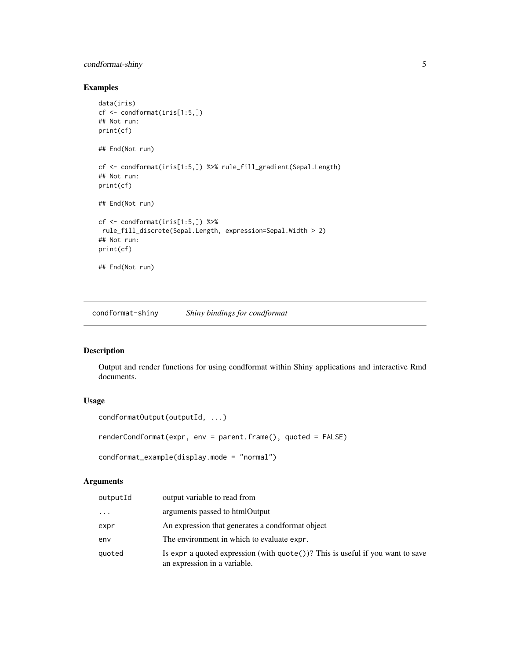#### <span id="page-4-0"></span>condformat-shiny 5

#### Examples

```
data(iris)
cf <- condformat(iris[1:5,])
## Not run:
print(cf)
## End(Not run)
cf <- condformat(iris[1:5,]) %>% rule_fill_gradient(Sepal.Length)
## Not run:
print(cf)
## End(Not run)
cf <- condformat(iris[1:5,]) %>%
rule_fill_discrete(Sepal.Length, expression=Sepal.Width > 2)
## Not run:
print(cf)
## End(Not run)
```
condformat-shiny *Shiny bindings for condformat*

#### Description

Output and render functions for using condformat within Shiny applications and interactive Rmd documents.

#### Usage

```
condformatOutput(outputId, ...)
```
renderCondformat(expr, env = parent.frame(), quoted = FALSE)

```
condformat_example(display.mode = "normal")
```

| outputId | output variable to read from                                                                                             |
|----------|--------------------------------------------------------------------------------------------------------------------------|
| $\cdots$ | arguments passed to htmlOutput                                                                                           |
| expr     | An expression that generates a condformat object                                                                         |
| env      | The environment in which to evaluate expr.                                                                               |
| quoted   | Is expr a quoted expression (with $\text{quote}()$ )? This is useful if you want to save<br>an expression in a variable. |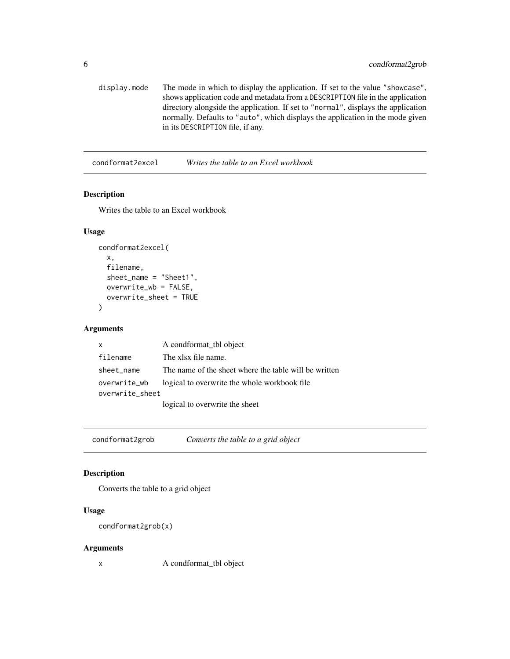```
display.mode The mode in which to display the application. If set to the value "showcase",
                  shows application code and metadata from a DESCRIPTION file in the application
                  directory alongside the application. If set to "normal", displays the application
                  normally. Defaults to "auto", which displays the application in the mode given
                  in its DESCRIPTION file, if any.
```
condformat2excel *Writes the table to an Excel workbook*

#### Description

Writes the table to an Excel workbook

#### Usage

```
condformat2excel(
  x,
  filename,
  sheet_name = "Sheet1",
 overwrite_wb = FALSE,
  overwrite_sheet = TRUE
)
```
#### Arguments

| x               | A condformat tbl object                               |
|-----------------|-------------------------------------------------------|
| filename        | The xlsx file name.                                   |
| sheet_name      | The name of the sheet where the table will be written |
| overwrite_wb    | logical to overwrite the whole workbook file.         |
| overwrite_sheet |                                                       |
|                 | logical to overwrite the sheet                        |

condformat2grob *Converts the table to a grid object*

#### Description

Converts the table to a grid object

#### Usage

```
condformat2grob(x)
```
#### Arguments

x A condformat\_tbl object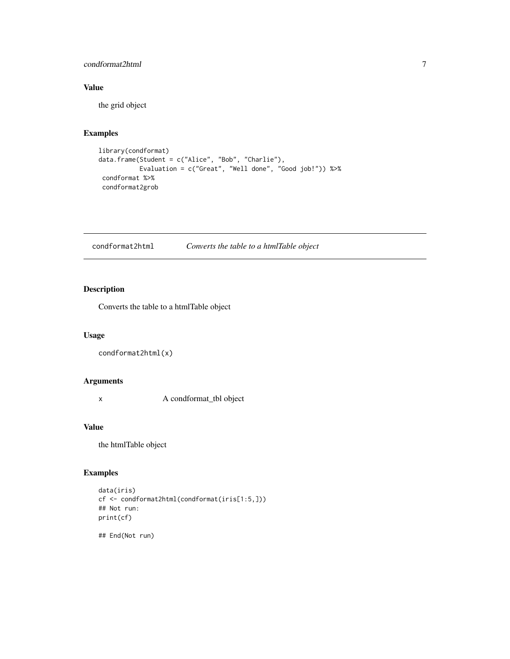#### <span id="page-6-0"></span>condformat2html 7

#### Value

the grid object

#### Examples

```
library(condformat)
data.frame(Student = c("Alice", "Bob", "Charlie"),
          Evaluation = c("Great", "Well done", "Good job!")) %>%
 condformat %>%
 condformat2grob
```
condformat2html *Converts the table to a htmlTable object*

#### Description

Converts the table to a htmlTable object

#### Usage

```
condformat2html(x)
```
#### Arguments

x A condformat\_tbl object

#### Value

the htmlTable object

#### Examples

```
data(iris)
cf <- condformat2html(condformat(iris[1:5,]))
## Not run:
print(cf)
```
## End(Not run)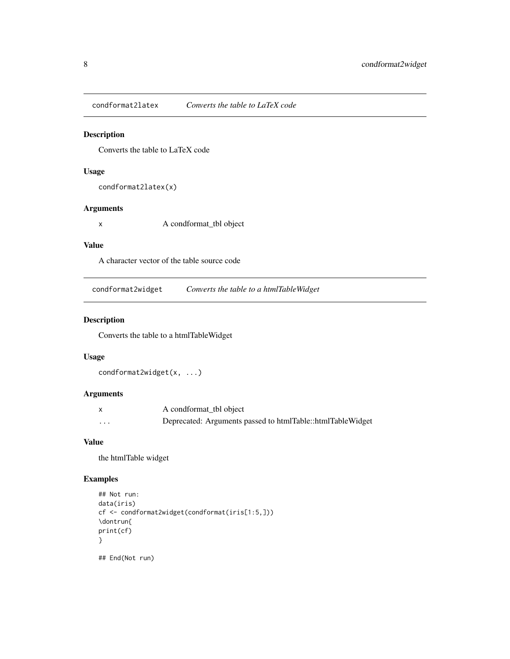<span id="page-7-0"></span>condformat2latex *Converts the table to LaTeX code*

#### Description

Converts the table to LaTeX code

#### Usage

```
condformat2latex(x)
```
#### Arguments

x A condformat\_tbl object

#### Value

A character vector of the table source code

condformat2widget *Converts the table to a htmlTableWidget*

#### Description

Converts the table to a htmlTableWidget

#### Usage

condformat2widget(x, ...)

#### Arguments

|                         | A condformat_tbl object                                    |
|-------------------------|------------------------------------------------------------|
| $\cdot$ $\cdot$ $\cdot$ | Deprecated: Arguments passed to htmlTable::htmlTableWidget |

#### Value

the htmlTable widget

#### Examples

```
## Not run:
data(iris)
cf <- condformat2widget(condformat(iris[1:5,]))
\dontrun{
print(cf)
}
```
## End(Not run)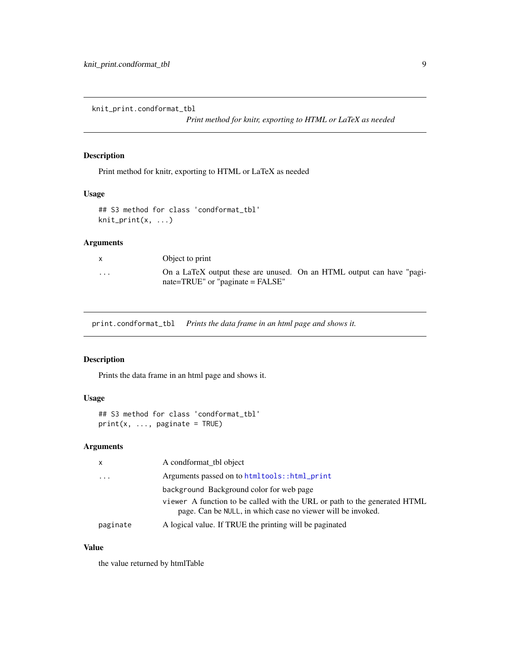<span id="page-8-0"></span>knit\_print.condformat\_tbl

*Print method for knitr, exporting to HTML or LaTeX as needed*

#### Description

Print method for knitr, exporting to HTML or LaTeX as needed

#### Usage

## S3 method for class 'condformat\_tbl' knit\_print(x, ...)

#### Arguments

|          | Object to print                                                                                                   |  |  |
|----------|-------------------------------------------------------------------------------------------------------------------|--|--|
| $\cdots$ | On a LaTeX output these are unused. On an HTML output can have "pagi-<br>$nate = TRUE''$ or "paginate = $FALSE''$ |  |  |

print.condformat\_tbl *Prints the data frame in an html page and shows it.*

#### Description

Prints the data frame in an html page and shows it.

#### Usage

```
## S3 method for class 'condformat_tbl'
print(x, ..., paginate = TRUE)
```
#### Arguments

| X                    | A condformat_tbl object                                                                                                                  |
|----------------------|------------------------------------------------------------------------------------------------------------------------------------------|
| $\ddot{\phantom{0}}$ | Arguments passed on to htmltools::html_print                                                                                             |
|                      | background Background color for web page                                                                                                 |
|                      | viewer A function to be called with the URL or path to the generated HTML<br>page. Can be NULL, in which case no viewer will be invoked. |
| paginate             | A logical value. If TRUE the printing will be paginated                                                                                  |

#### Value

the value returned by htmlTable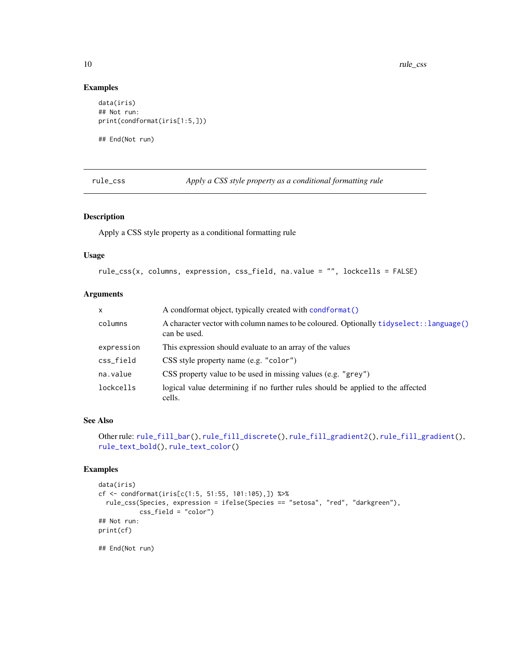#### Examples

```
data(iris)
## Not run:
print(condformat(iris[1:5,]))
```
## End(Not run)

<span id="page-9-1"></span>rule\_css *Apply a CSS style property as a conditional formatting rule*

#### Description

Apply a CSS style property as a conditional formatting rule

#### Usage

```
rule_css(x, columns, expression, css_field, na.value = "", lockcells = FALSE)
```
#### Arguments

| $\mathsf{x}$ | A condformat object, typically created with condformat ()                                                |
|--------------|----------------------------------------------------------------------------------------------------------|
| columns      | A character vector with column names to be coloured. Optionally tidyselect: : language()<br>can be used. |
| expression   | This expression should evaluate to an array of the values                                                |
| css_field    | CSS style property name (e.g. "color")                                                                   |
| na.value     | CSS property value to be used in missing values (e.g. "grey")                                            |
| lockcells    | logical value determining if no further rules should be applied to the affected<br>cells.                |

#### See Also

```
Other rule: rule_fill_bar(), rule_fill_discrete(), rule_fill_gradient2(), rule_fill_gradient(),
rule_text_bold(), rule_text_color()
```
#### Examples

```
data(iris)
cf <- condformat(iris[c(1:5, 51:55, 101:105),]) %>%
  rule_css(Species, expression = ifelse(Species == "setosa", "red", "darkgreen"),
           css_field = "color")
## Not run:
print(cf)
## End(Not run)
```
<span id="page-9-0"></span>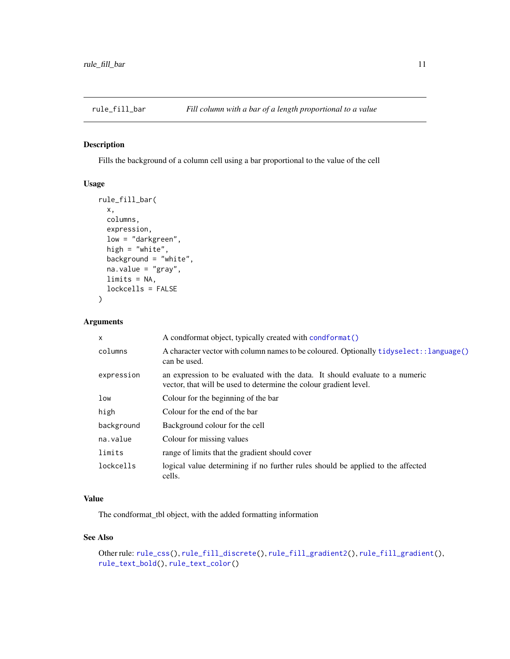<span id="page-10-1"></span><span id="page-10-0"></span>

#### Description

Fills the background of a column cell using a bar proportional to the value of the cell

#### Usage

```
rule_fill_bar(
  x,
 columns,
 expression,
 low = "darkgreen",
 high = "white",
 background = "white",
 na.value = "gray",
 limits = NA,
 lockcells = FALSE
)
```
#### Arguments

| X          | A condformat object, typically created with condformat ()                                                                                         |
|------------|---------------------------------------------------------------------------------------------------------------------------------------------------|
| columns    | A character vector with column names to be coloured. Optionally tidyselect: : language()<br>can be used.                                          |
| expression | an expression to be evaluated with the data. It should evaluate to a numeric<br>vector, that will be used to determine the colour gradient level. |
| low        | Colour for the beginning of the bar                                                                                                               |
| high       | Colour for the end of the bar                                                                                                                     |
| background | Background colour for the cell                                                                                                                    |
| na.value   | Colour for missing values                                                                                                                         |
| limits     | range of limits that the gradient should cover                                                                                                    |
| lockcells  | logical value determining if no further rules should be applied to the affected<br>cells.                                                         |

#### Value

The condformat\_tbl object, with the added formatting information

#### See Also

```
Other rule: rule_css(), rule_fill_discrete(), rule_fill_gradient2(), rule_fill_gradient(),
rule_text_bold(), rule_text_color()
```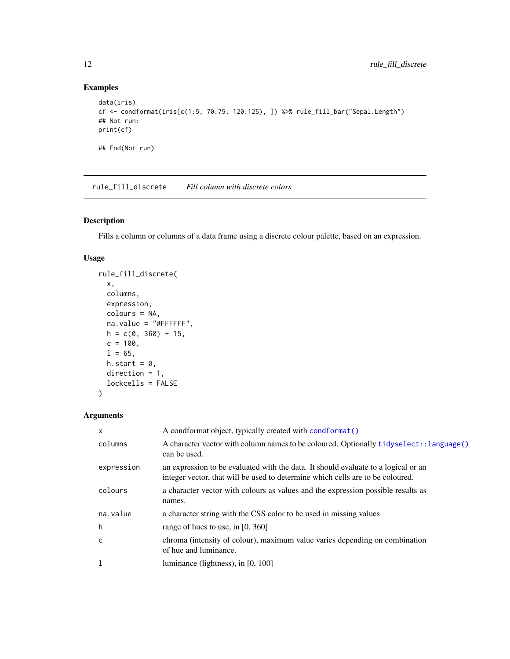#### Examples

```
data(iris)
cf <- condformat(iris[c(1:5, 70:75, 120:125), ]) %>% rule_fill_bar("Sepal.Length")
## Not run:
print(cf)
## End(Not run)
```
<span id="page-11-1"></span>rule\_fill\_discrete *Fill column with discrete colors*

#### Description

Fills a column or columns of a data frame using a discrete colour palette, based on an expression.

#### Usage

```
rule_fill_discrete(
 x,
 columns,
 expression,
 colours = NA,
 na.value = "#FFFFFF",
 h = c(0, 360) + 15,c = 100,1 = 65,
 h.start = 0,
 direction = 1,
 lockcells = FALSE
)
```

| $\boldsymbol{\mathsf{x}}$ | A condformat object, typically created with condformat ()                                                                                                            |
|---------------------------|----------------------------------------------------------------------------------------------------------------------------------------------------------------------|
| columns                   | A character vector with column names to be coloured. Optionally tidyselect::language()<br>can be used.                                                               |
| expression                | an expression to be evaluated with the data. It should evaluate to a logical or an<br>integer vector, that will be used to determine which cells are to be coloured. |
| colours                   | a character vector with colours as values and the expression possible results as<br>names.                                                                           |
| na.value                  | a character string with the CSS color to be used in missing values                                                                                                   |
| h                         | range of hues to use, in $[0, 360]$                                                                                                                                  |
| C                         | chroma (intensity of colour), maximum value varies depending on combination<br>of hue and luminance.                                                                 |
| <b>T</b>                  | luminance (lightness), in $[0, 100]$                                                                                                                                 |

<span id="page-11-0"></span>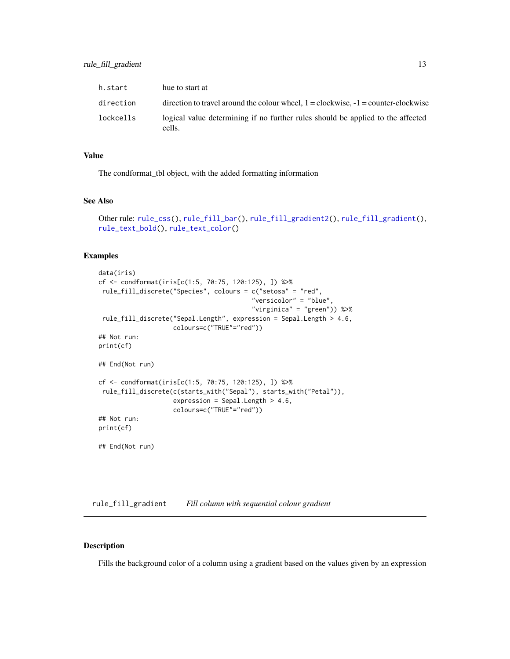<span id="page-12-0"></span>

| h.start   | hue to start at                                                                           |
|-----------|-------------------------------------------------------------------------------------------|
| direction | direction to travel around the colour wheel, $1 =$ clockwise, $-1 =$ counter-clockwise    |
| lockcells | logical value determining if no further rules should be applied to the affected<br>cells. |

#### Value

The condformat\_tbl object, with the added formatting information

#### See Also

```
Other rule: rule_css(), rule_fill_bar(), rule_fill_gradient2(), rule_fill_gradient(),
rule_text_bold(), rule_text_color()
```
#### Examples

```
data(iris)
cf <- condformat(iris[c(1:5, 70:75, 120:125), ]) %>%
rule_fill_discrete("Species", colours = c("setosa" = "red",
                                         "versicolor" = "blue",
                                         "virginica" = "green")) %>%
 rule_fill_discrete("Sepal.Length", expression = Sepal.Length > 4.6,
                    colours=c("TRUE"="red"))
## Not run:
print(cf)
## End(Not run)
cf <- condformat(iris[c(1:5, 70:75, 120:125), ]) %>%
rule_fill_discrete(c(starts_with("Sepal"), starts_with("Petal")),
                    expression = Sepal.Length > 4.6,
                    colours=c("TRUE"="red"))
## Not run:
print(cf)
## End(Not run)
```
<span id="page-12-1"></span>rule\_fill\_gradient *Fill column with sequential colour gradient*

#### Description

Fills the background color of a column using a gradient based on the values given by an expression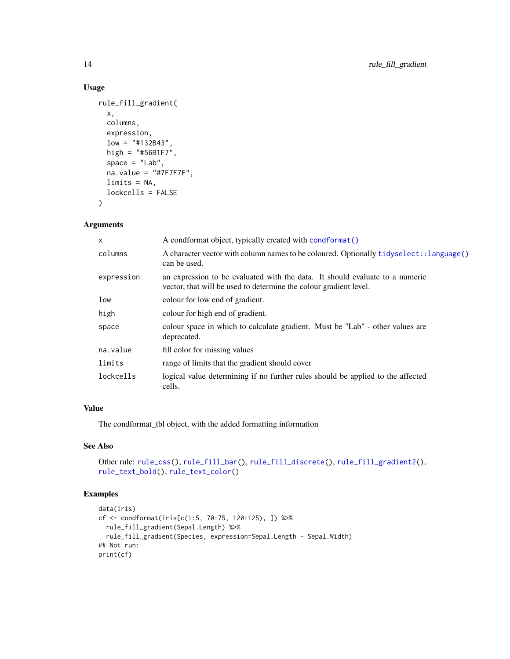#### Usage

```
rule_fill_gradient(
 x,
 columns,
 expression,
 low = "#132B43",high = "#56B1F7",
 space = "Lab",na.value = "#7F7F7F",
 limits = NA,
 lockcells = FALSE
)
```
#### Arguments

| x          | A condformat object, typically created with condformat ()                                                                                         |  |
|------------|---------------------------------------------------------------------------------------------------------------------------------------------------|--|
| columns    | A character vector with column names to be coloured. Optionally tidyselect: : language()<br>can be used.                                          |  |
| expression | an expression to be evaluated with the data. It should evaluate to a numeric<br>vector, that will be used to determine the colour gradient level. |  |
| low        | colour for low end of gradient.                                                                                                                   |  |
| high       | colour for high end of gradient.                                                                                                                  |  |
| space      | colour space in which to calculate gradient. Must be "Lab" - other values are<br>deprecated.                                                      |  |
| na.value   | fill color for missing values                                                                                                                     |  |
| limits     | range of limits that the gradient should cover                                                                                                    |  |
| lockcells  | logical value determining if no further rules should be applied to the affected<br>cells.                                                         |  |

#### Value

The condformat\_tbl object, with the added formatting information

#### See Also

```
Other rule: rule_css(), rule_fill_bar(), rule_fill_discrete(), rule_fill_gradient2(),
rule_text_bold(), rule_text_color()
```
#### Examples

```
data(iris)
cf <- condformat(iris[c(1:5, 70:75, 120:125), ]) %>%
  rule_fill_gradient(Sepal.Length) %>%
  rule_fill_gradient(Species, expression=Sepal.Length - Sepal.Width)
## Not run:
print(cf)
```
<span id="page-13-0"></span>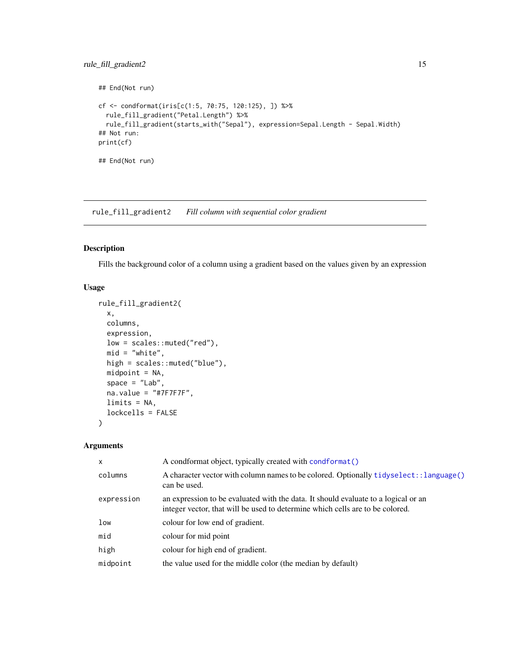#### <span id="page-14-0"></span>rule\_fill\_gradient2 15

```
## End(Not run)
cf <- condformat(iris[c(1:5, 70:75, 120:125), ]) %>%
  rule_fill_gradient("Petal.Length") %>%
  rule_fill_gradient(starts_with("Sepal"), expression=Sepal.Length - Sepal.Width)
## Not run:
print(cf)
## End(Not run)
```
<span id="page-14-1"></span>rule\_fill\_gradient2 *Fill column with sequential color gradient*

#### Description

Fills the background color of a column using a gradient based on the values given by an expression

#### Usage

```
rule_fill_gradient2(
 x,
 columns,
 expression,
 low = scales::muted("red"),
 mid = "white",high = scales::muted("blue"),
 mid = NA,
 space = "Lab",
 na.value = "#7F7F7F",
 limits = NA,
 lockcells = FALSE
)
```

| A condformat object, typically created with condformat ()                                                                                                           |
|---------------------------------------------------------------------------------------------------------------------------------------------------------------------|
| A character vector with column names to be colored. Optionally tidyselect::language()<br>can be used.                                                               |
| an expression to be evaluated with the data. It should evaluate to a logical or an<br>integer vector, that will be used to determine which cells are to be colored. |
| colour for low end of gradient.                                                                                                                                     |
| colour for mid point                                                                                                                                                |
| colour for high end of gradient.                                                                                                                                    |
| the value used for the middle color (the median by default)                                                                                                         |
|                                                                                                                                                                     |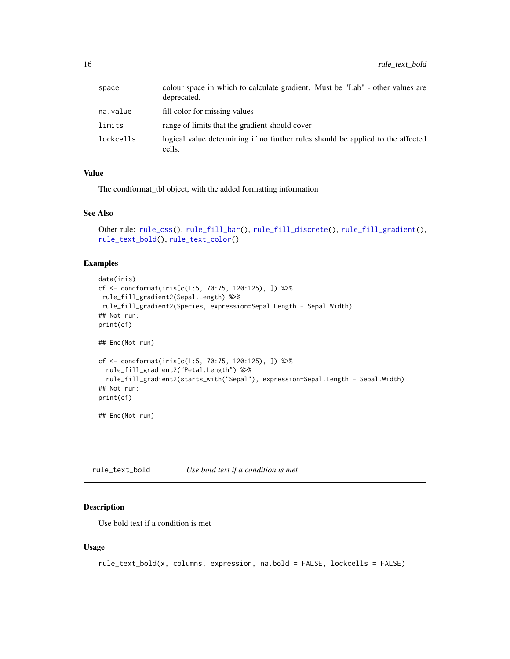<span id="page-15-0"></span>

| space     | colour space in which to calculate gradient. Must be "Lab" - other values are<br>deprecated. |
|-----------|----------------------------------------------------------------------------------------------|
| na.value  | fill color for missing values                                                                |
| limits    | range of limits that the gradient should cover                                               |
| lockcells | logical value determining if no further rules should be applied to the affected<br>cells.    |

#### Value

The condformat\_tbl object, with the added formatting information

#### See Also

```
Other rule: rule_css(), rule_fill_bar(), rule_fill_discrete(), rule_fill_gradient(),
rule_text_bold(), rule_text_color()
```
#### Examples

```
data(iris)
cf <- condformat(iris[c(1:5, 70:75, 120:125), ]) %>%
rule_fill_gradient2(Sepal.Length) %>%
rule_fill_gradient2(Species, expression=Sepal.Length - Sepal.Width)
## Not run:
print(cf)
## End(Not run)
cf <- condformat(iris[c(1:5, 70:75, 120:125), ]) %>%
  rule_fill_gradient2("Petal.Length") %>%
  rule_fill_gradient2(starts_with("Sepal"), expression=Sepal.Length - Sepal.Width)
## Not run:
print(cf)
```
## End(Not run)

<span id="page-15-1"></span>rule\_text\_bold *Use bold text if a condition is met*

#### Description

Use bold text if a condition is met

#### Usage

```
rule_text_bold(x, columns, expression, na.bold = FALSE, lockcells = FALSE)
```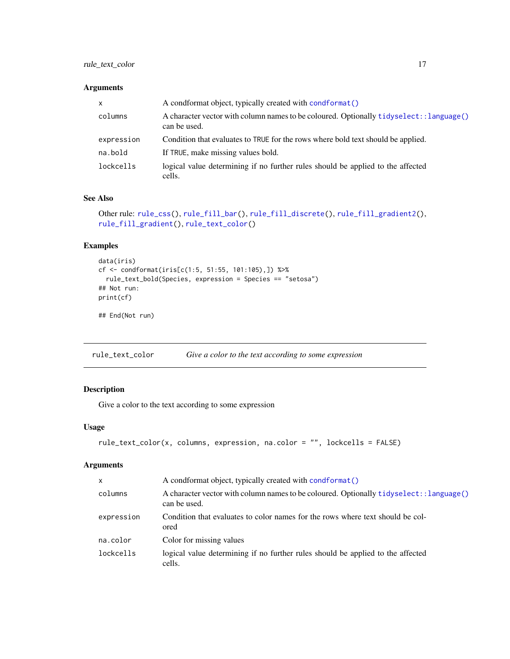#### <span id="page-16-0"></span>rule\_text\_color 17

#### Arguments

| $\mathsf{x}$ | A condformat object, typically created with condformat ()                                                |
|--------------|----------------------------------------------------------------------------------------------------------|
| columns      | A character vector with column names to be coloured. Optionally tidyselect: : language()<br>can be used. |
| expression   | Condition that evaluates to TRUE for the rows where bold text should be applied.                         |
| na.bold      | If TRUE, make missing values bold.                                                                       |
| lockcells    | logical value determining if no further rules should be applied to the affected<br>cells.                |

#### See Also

```
Other rule: rule_css(), rule_fill_bar(), rule_fill_discrete(), rule_fill_gradient2(),
rule_fill_gradient(), rule_text_color()
```
#### Examples

```
data(iris)
cf <- condformat(iris[c(1:5, 51:55, 101:105),]) %>%
 rule_text_bold(Species, expression = Species == "setosa")
## Not run:
print(cf)
```
## End(Not run)

<span id="page-16-1"></span>rule\_text\_color *Give a color to the text according to some expression*

#### Description

Give a color to the text according to some expression

#### Usage

```
rule_text_color(x, columns, expression, na.color = "", lockcells = FALSE)
```

| X          | A condformat object, typically created with condformat ()                                                |
|------------|----------------------------------------------------------------------------------------------------------|
| columns    | A character vector with column names to be coloured. Optionally tidyselect: : language()<br>can be used. |
| expression | Condition that evaluates to color names for the rows where text should be col-<br>ored                   |
| na.color   | Color for missing values                                                                                 |
| lockcells  | logical value determining if no further rules should be applied to the affected<br>cells.                |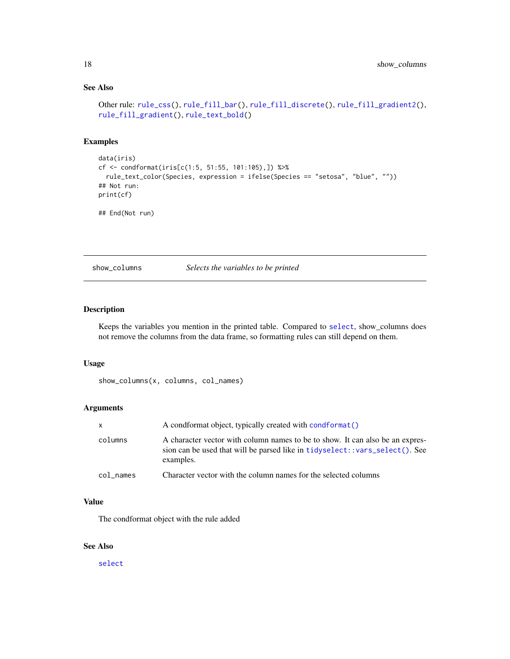#### See Also

```
Other rule: rule_css(), rule_fill_bar(), rule_fill_discrete(), rule_fill_gradient2(),
rule_fill_gradient(), rule_text_bold()
```
#### Examples

```
data(iris)
cf <- condformat(iris[c(1:5, 51:55, 101:105),]) %>%
  rule_text_color(Species, expression = ifelse(Species == "setosa", "blue", ""))
## Not run:
print(cf)
```
## End(Not run)

show\_columns *Selects the variables to be printed*

#### Description

Keeps the variables you mention in the printed table. Compared to [select](#page-0-0), show\_columns does not remove the columns from the data frame, so formatting rules can still depend on them.

#### Usage

```
show_columns(x, columns, col_names)
```
#### Arguments

| X.        | A condformat object, typically created with condformat ()                                                                                                                 |
|-----------|---------------------------------------------------------------------------------------------------------------------------------------------------------------------------|
| columns   | A character vector with column names to be to show. It can also be an expres-<br>sion can be used that will be parsed like in tidyselect::vars_select(). See<br>examples. |
| col names | Character vector with the column names for the selected columns                                                                                                           |

#### Value

The condformat object with the rule added

#### See Also

[select](#page-0-0)

<span id="page-17-0"></span>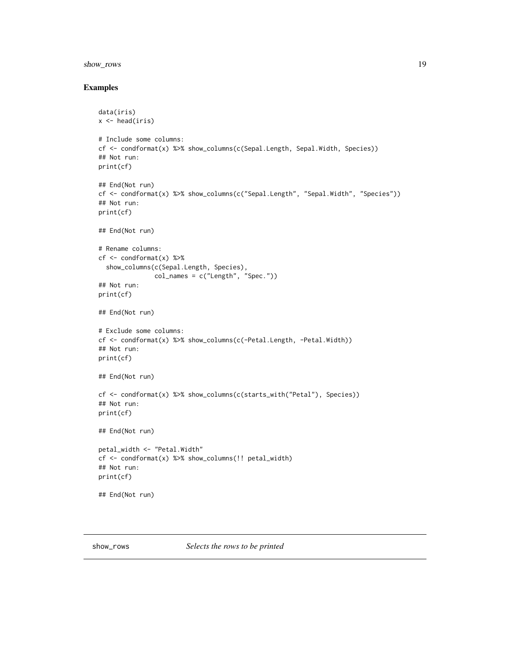#### <span id="page-18-0"></span>show\_rows 19

#### Examples

```
data(iris)
x \leftarrow head(iris)
# Include some columns:
cf <- condformat(x) %>% show_columns(c(Sepal.Length, Sepal.Width, Species))
## Not run:
print(cf)
## End(Not run)
cf <- condformat(x) %>% show_columns(c("Sepal.Length", "Sepal.Width", "Species"))
## Not run:
print(cf)
## End(Not run)
# Rename columns:
cf <- condformat(x) %>%
  show_columns(c(Sepal.Length, Species),
               col\_names = c("Length", "Spec.")## Not run:
print(cf)
## End(Not run)
# Exclude some columns:
cf <- condformat(x) %>% show_columns(c(-Petal.Length, -Petal.Width))
## Not run:
print(cf)
## End(Not run)
cf <- condformat(x) %>% show_columns(c(starts_with("Petal"), Species))
## Not run:
print(cf)
## End(Not run)
petal_width <- "Petal.Width"
cf <- condformat(x) %>% show_columns(!! petal_width)
## Not run:
print(cf)
## End(Not run)
```
show\_rows *Selects the rows to be printed*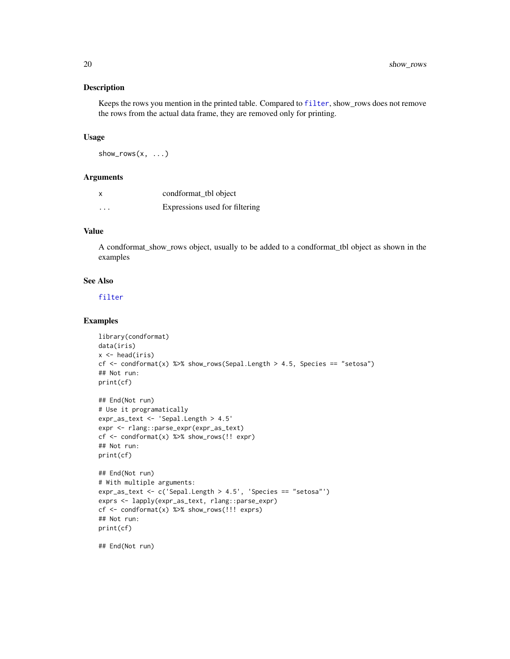#### Description

Keeps the rows you mention in the printed table. Compared to [filter](#page-0-0), show\_rows does not remove the rows from the actual data frame, they are removed only for printing.

#### Usage

 $show_{rows}(x, \ldots)$ 

#### **Arguments**

| x                       | condformat_tbl object          |
|-------------------------|--------------------------------|
| $\cdot$ $\cdot$ $\cdot$ | Expressions used for filtering |

#### Value

A condformat\_show\_rows object, usually to be added to a condformat\_tbl object as shown in the examples

#### See Also

[filter](#page-0-0)

#### Examples

```
library(condformat)
data(iris)
x \leftarrow head(iris)
cf \le condformat(x) %>% show_rows(Sepal.Length > 4.5, Species == "setosa")
## Not run:
print(cf)
## End(Not run)
# Use it programatically
expr_as_text <- 'Sepal.Length > 4.5'
expr <- rlang::parse_expr(expr_as_text)
cf <- condformat(x) %>% show_rows(!! expr)
## Not run:
print(cf)
## End(Not run)
# With multiple arguments:
expr_as_text <- c('Sepal.Length > 4.5', 'Species == "setosa"')
exprs <- lapply(expr_as_text, rlang::parse_expr)
cf <- condformat(x) %>% show_rows(!!! exprs)
## Not run:
print(cf)
## End(Not run)
```
<span id="page-19-0"></span>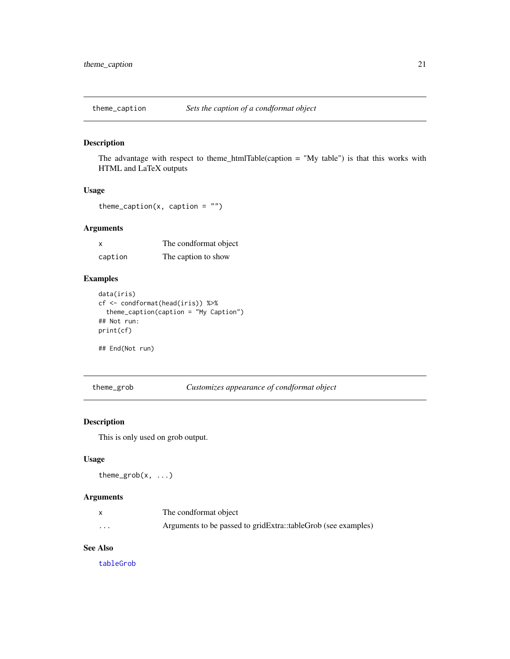<span id="page-20-0"></span>

#### Description

The advantage with respect to theme\_htmlTable(caption = "My table") is that this works with HTML and LaTeX outputs

#### Usage

```
theme_caption(x, caption = ")
```
#### Arguments

| x       | The condformat object |
|---------|-----------------------|
| caption | The caption to show   |

#### Examples

```
data(iris)
cf <- condformat(head(iris)) %>%
  theme_caption(caption = "My Caption")
## Not run:
print(cf)
```
## End(Not run)

theme\_grob *Customizes appearance of condformat object*

#### Description

This is only used on grob output.

#### Usage

theme\_grob(x, ...)

#### Arguments

|   | The condformat object                                         |
|---|---------------------------------------------------------------|
| . | Arguments to be passed to gridExtra::tableGrob (see examples) |

#### See Also

[tableGrob](#page-0-0)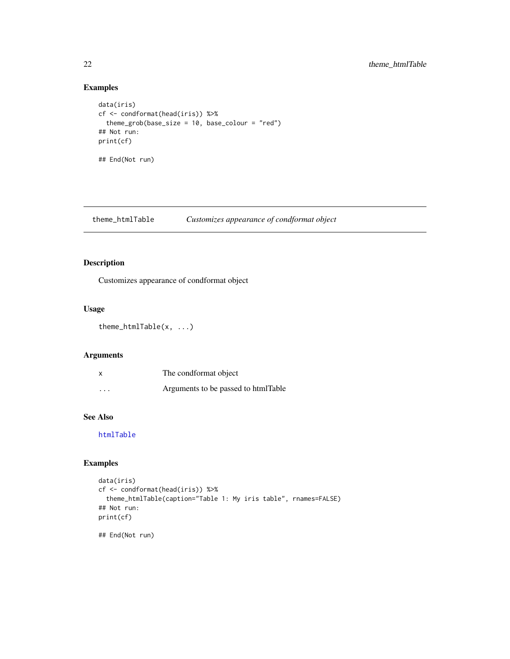#### Examples

```
data(iris)
cf <- condformat(head(iris)) %>%
  theme_grob(base_size = 10, base_colour = "red")
## Not run:
print(cf)
## End(Not run)
```
theme\_htmlTable *Customizes appearance of condformat object*

#### Description

Customizes appearance of condformat object

#### Usage

```
theme_htmlTable(x, ...)
```
#### Arguments

|                         | The condformat object               |
|-------------------------|-------------------------------------|
| $\cdot$ $\cdot$ $\cdot$ | Arguments to be passed to htmlTable |

#### See Also

[htmlTable](#page-0-0)

#### Examples

```
data(iris)
cf <- condformat(head(iris)) %>%
  theme_htmlTable(caption="Table 1: My iris table", rnames=FALSE)
## Not run:
print(cf)
## End(Not run)
```
<span id="page-21-0"></span>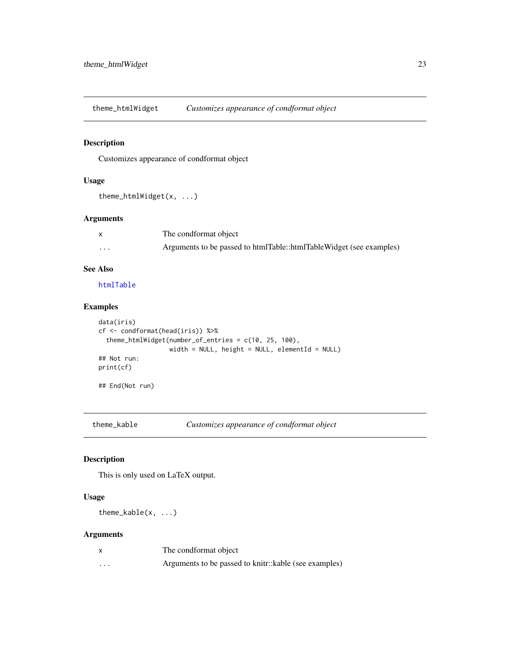<span id="page-22-0"></span>theme\_htmlWidget *Customizes appearance of condformat object*

#### Description

Customizes appearance of condformat object

#### Usage

```
theme_htmlWidget(x, ...)
```
#### Arguments

|          | The condformat object                                               |
|----------|---------------------------------------------------------------------|
| $\cdots$ | Arguments to be passed to htmlTable::htmlTableWidget (see examples) |

#### See Also

[htmlTable](#page-0-0)

#### Examples

```
data(iris)
cf <- condformat(head(iris)) %>%
  theme_htmlWidget(number_of_entries = c(10, 25, 100),
                   width = NULL, height = NULL, elementId = NULL)
## Not run:
print(cf)
## End(Not run)
```
theme\_kable *Customizes appearance of condformat object*

#### Description

This is only used on LaTeX output.

#### Usage

theme\_kable(x, ...)

|   | The condformat object                                 |
|---|-------------------------------------------------------|
| . | Arguments to be passed to knitr::kable (see examples) |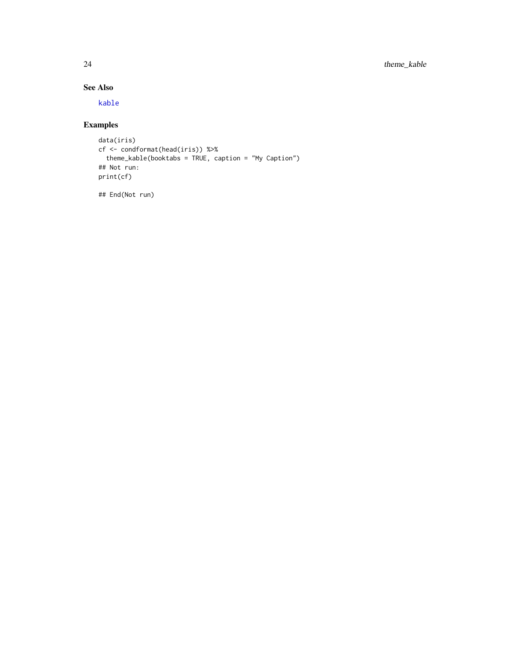#### <span id="page-23-0"></span>See Also

[kable](#page-0-0)

### Examples

```
data(iris)
cf <- condformat(head(iris)) %>%
 theme_kable(booktabs = TRUE, caption = "My Caption")
## Not run:
print(cf)
```
## End(Not run)